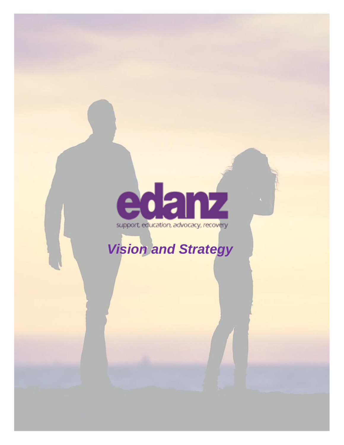# edanz

# *Vision and Strategy*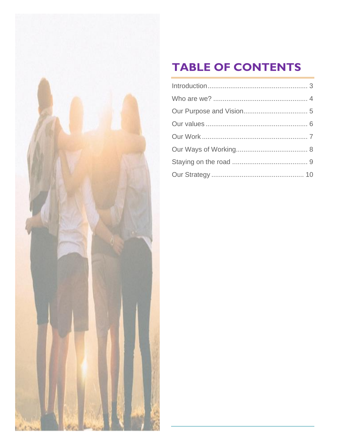

## **TABLE OF CONTENTS**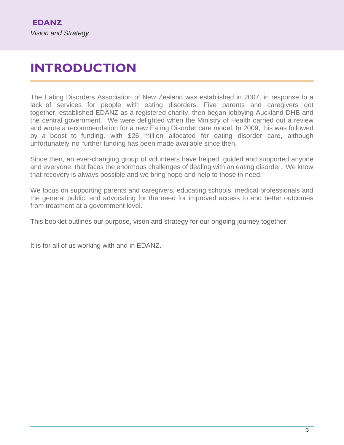## <span id="page-2-0"></span>**INTRODUCTION**

The Eating Disorders Association of New Zealand was established in 2007, in response to a lack of services for people with eating disorders. Five parents and caregivers got together, established EDANZ as a registered charity, then began lobbying Auckland DHB and the central government. We were delighted when the Ministry of Health carried out a review and wrote a recommendation for a new Eating Disorder care model. In 2009, this was followed by a boost to funding, with \$26 million allocated for eating disorder care, although unfortunately no further funding has been made available since then.

Since then, an ever-changing group of volunteers have helped, guided and supported anyone and everyone, that faces the enormous challenges of dealing with an eating disorder. We know that recovery is always possible and we bring hope and help to those in need.

We focus on supporting parents and caregivers, educating schools, medical professionals and the general public, and advocating for the need for improved access to and better outcomes from treatment at a government level.

This booklet outlines our purpose, vison and strategy for our ongoing journey together.

It is for all of us working with and in EDANZ.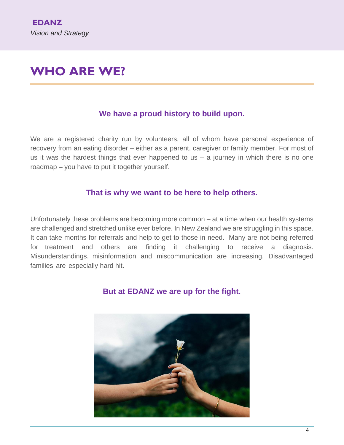## <span id="page-3-0"></span>**WHO ARE WE?**

#### **We have a proud history to build upon.**

We are a registered charity run by volunteers, all of whom have personal experience of recovery from an eating disorder – either as a parent, caregiver or family member. For most of us it was the hardest things that ever happened to us  $-$  a journey in which there is no one roadmap – you have to put it together yourself.

#### **That is why we want to be here to help others.**

Unfortunately these problems are becoming more common – at a time when our health systems are challenged and stretched unlike ever before. In New Zealand we are struggling in this space. It can take months for referrals and help to get to those in need. Many are not being referred for treatment and others are finding it challenging to receive a diagnosis. Misunderstandings, misinformation and miscommunication are increasing. Disadvantaged families are especially hard hit.

#### **But at EDANZ we are up for the fight.**

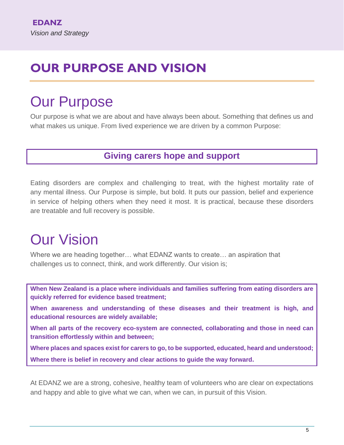## <span id="page-4-0"></span>**OUR PURPOSE AND VISION**

# Our Purpose

Our purpose is what we are about and have always been about. Something that defines us and what makes us unique. From lived experience we are driven by a common Purpose:

### **Giving carers hope and support**

Eating disorders are complex and challenging to treat, with the highest mortality rate of any mental illness. Our Purpose is simple, but bold. It puts our passion, belief and experience in service of helping others when they need it most. It is practical, because these disorders are treatable and full recovery is possible.

# Our Vision

Where we are heading together… what EDANZ wants to create… an aspiration that challenges us to connect, think, and work differently. Our vision is;

**When New Zealand is a place where individuals and families suffering from eating disorders are quickly referred for evidence based treatment;** 

**When awareness and understanding of these diseases and their treatment is high, and educational resources are widely available;** 

**When all parts of the recovery eco-system are connected, collaborating and those in need can transition effortlessly within and between;** 

**Where places and spaces exist for carers to go, to be supported, educated, heard and understood; Where there is belief in recovery and clear actions to guide the way forward.**

At EDANZ we are a strong, cohesive, healthy team of volunteers who are clear on expectations and happy and able to give what we can, when we can, in pursuit of this Vision.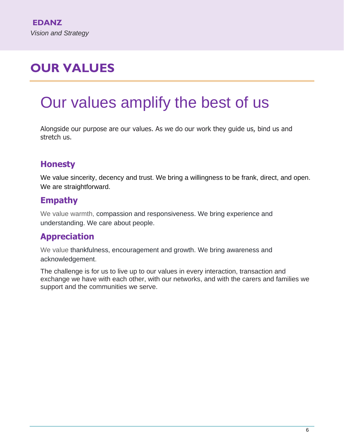# <span id="page-5-0"></span>**OUR VALUES**

# Our values amplify the best of us

Alongside our purpose are our values. As we do our work they guide us, bind us and stretch us.

## **Honesty**

We value sincerity, decency and trust. We bring a willingness to be frank, direct, and open. We are straightforward.

## **Empathy**

We value warmth, compassion and responsiveness. We bring experience and understanding. We care about people.

## **Appreciation**

We value thankfulness, encouragement and growth. We bring awareness and acknowledgement.

The challenge is for us to live up to our values in every interaction, transaction and exchange we have with each other, with our networks, and with the carers and families we support and the communities we serve.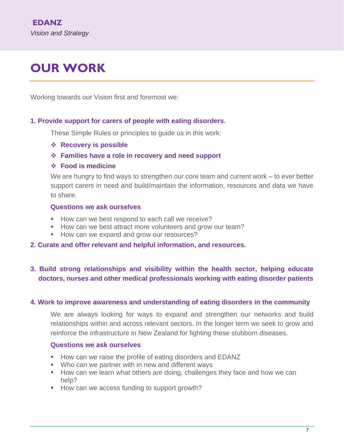# <span id="page-6-0"></span>**OUR WORK**

Working towards our Vision first and foremost we:

#### **1. Provide support for carers of people with eating disorders.**

These Simple Rules or principles to guide us in this work:

- ❖ **Recovery is possible**
- ❖ **Families have a role in recovery and need support**
- ❖ **Food is medicine**

We are hungry to find ways to strengthen our core team and current work – to ever better support carers in need and build/maintain the information, resources and data we have to share.

#### **Questions we ask ourselves**

- How can we best respond to each call we receive?
- How can we best attract more volunteers and grow our team?
- How can we expand and grow our resources?
- **2. Curate and offer relevant and helpful information, and resources.**

#### **3. Build strong relationships and visibility within the health sector, helping educate doctors, nurses and other medical professionals working with eating disorder patients**

#### **4. Work to improve awareness and understanding of eating disorders in the community**

We are always looking for ways to expand and strengthen our networks and build relationships within and across relevant sectors. In the longer term we seek to grow and reinforce the infrastructure in New Zealand for fighting these stubborn diseases.

#### **Questions we ask ourselves**

- How can we raise the profile of eating disorders and EDANZ
- Who can we partner with in new and different ways
- How can we learn what others are doing, challenges they face and how we can help?
- How can we access funding to support growth?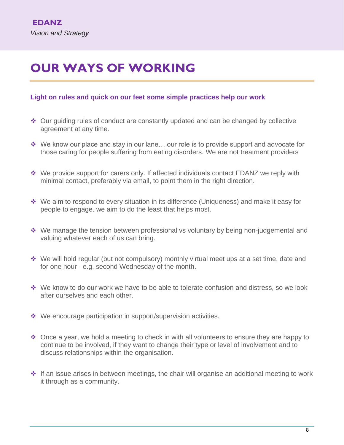## <span id="page-7-0"></span>**OUR WAYS OF WORKING**

#### **Light on rules and quick on our feet some simple practices help our work**

- ❖ Our guiding rules of conduct are constantly updated and can be changed by collective agreement at any time.
- ❖ We know our place and stay in our lane… our role is to provide support and advocate for those caring for people suffering from eating disorders. We are not treatment providers
- ❖ We provide support for carers only. If affected individuals contact EDANZ we reply with minimal contact, preferably via email, to point them in the right direction.
- ❖ We aim to respond to every situation in its difference (Uniqueness) and make it easy for people to engage. we aim to do the least that helps most.
- ❖ We manage the tension between professional vs voluntary by being non-judgemental and valuing whatever each of us can bring.
- ❖ We will hold regular (but not compulsory) monthly virtual meet ups at a set time, date and for one hour - e.g. second Wednesday of the month.
- ❖ We know to do our work we have to be able to tolerate confusion and distress, so we look after ourselves and each other.
- ❖ We encourage participation in support/supervision activities.
- ❖ Once a year, we hold a meeting to check in with all volunteers to ensure they are happy to continue to be involved, if they want to change their type or level of involvement and to discuss relationships within the organisation.
- ❖ If an issue arises in between meetings, the chair will organise an additional meeting to work it through as a community.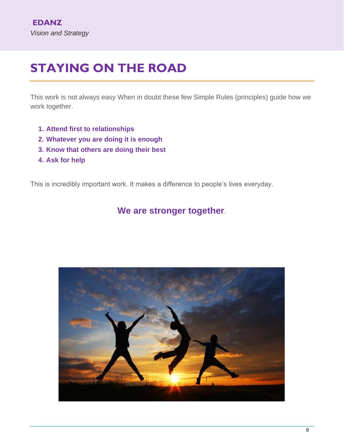## <span id="page-8-0"></span>**STAYING ON THE ROAD**

This work is not always easy When in doubt these few Simple Rules (principles) guide how we work together.

- **1. Attend first to relationships**
- **2. Whatever you are doing it is enough**
- **3. Know that others are doing their best**
- **4. Ask for help**

This is incredibly important work. It makes a difference to people's lives everyday.

### **We are stronger together**.

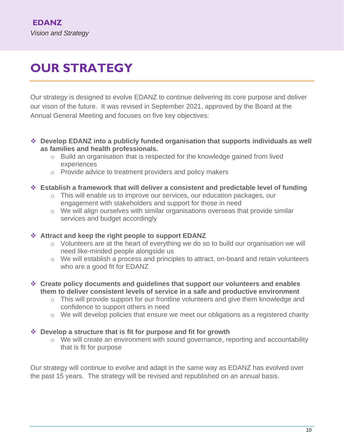# <span id="page-9-0"></span>**OUR STRATEGY**

Our strategy is designed to evolve EDANZ to continue delivering its core purpose and deliver our vison of the future. It was revised in September 2021, approved by the Board at the Annual General Meeting and focuses on five key objectives:

- ❖ **Develop EDANZ into a publicly funded organisation that supports individuals as well as families and health professionals.** 
	- o Build an organisation that is respected for the knowledge gained from lived experiences
	- o Provide advice to treatment providers and policy makers

#### ❖ **Establish a framework that will deliver a consistent and predictable level of funding**

- o This will enable us to improve our services, our education packages, our engagement with stakeholders and support for those in need
- o We will align ourselves with similar organisations overseas that provide similar services and budget accordingly

#### ❖ **Attract and keep the right people to support EDANZ**

- o Volunteers are at the heart of everything we do so to build our organisation we will need like-minded people alongside us
- $\circ$  We will establish a process and principles to attract, on-board and retain volunteers who are a good fit for EDANZ
- ❖ **Create policy documents and guidelines that support our volunteers and enables them to deliver consistent levels of service in a safe and productive environment**
	- $\circ$  This will provide support for our frontline volunteers and give them knowledge and confidence to support others in need
	- o We will develop policies that ensure we meet our obligations as a registered charity

#### ❖ **Develop a structure that is fit for purpose and fit for growth**

 $\circ$  We will create an environment with sound governance, reporting and accountability that is fit for purpose

Our strategy will continue to evolve and adapt in the same way as EDANZ has evolved over the past 15 years. The strategy will be revised and republished on an annual basis.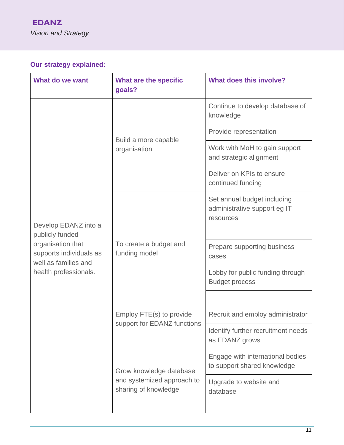## **Our strategy explained:**

| What do we want                                                                                                                          | What are the specific<br>goals?                                               | <b>What does this involve?</b>                                           |
|------------------------------------------------------------------------------------------------------------------------------------------|-------------------------------------------------------------------------------|--------------------------------------------------------------------------|
| Develop EDANZ into a<br>publicly funded<br>organisation that<br>supports individuals as<br>well as families and<br>health professionals. | Build a more capable<br>organisation                                          | Continue to develop database of<br>knowledge                             |
|                                                                                                                                          |                                                                               | Provide representation                                                   |
|                                                                                                                                          |                                                                               | Work with MoH to gain support<br>and strategic alignment                 |
|                                                                                                                                          |                                                                               | Deliver on KPIs to ensure<br>continued funding                           |
|                                                                                                                                          | To create a budget and<br>funding model                                       | Set annual budget including<br>administrative support eg IT<br>resources |
|                                                                                                                                          |                                                                               | Prepare supporting business<br>cases                                     |
|                                                                                                                                          |                                                                               | Lobby for public funding through<br><b>Budget process</b>                |
|                                                                                                                                          |                                                                               |                                                                          |
|                                                                                                                                          | Employ FTE(s) to provide<br>support for EDANZ functions                       | Recruit and employ administrator                                         |
|                                                                                                                                          |                                                                               | Identify further recruitment needs<br>as EDANZ grows                     |
|                                                                                                                                          | Grow knowledge database<br>and systemized approach to<br>sharing of knowledge | Engage with international bodies<br>to support shared knowledge          |
|                                                                                                                                          |                                                                               | Upgrade to website and<br>database                                       |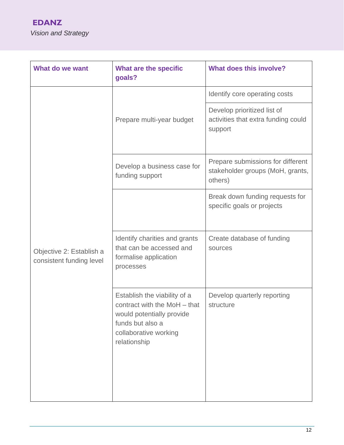| What do we want                                      | What are the specific<br>goals?                                                                                                                        | <b>What does this involve?</b>                                                   |
|------------------------------------------------------|--------------------------------------------------------------------------------------------------------------------------------------------------------|----------------------------------------------------------------------------------|
|                                                      |                                                                                                                                                        | Identify core operating costs                                                    |
| Objective 2: Establish a<br>consistent funding level | Prepare multi-year budget                                                                                                                              | Develop prioritized list of<br>activities that extra funding could<br>support    |
|                                                      | Develop a business case for<br>funding support                                                                                                         | Prepare submissions for different<br>stakeholder groups (MoH, grants,<br>others) |
|                                                      |                                                                                                                                                        | Break down funding requests for<br>specific goals or projects                    |
|                                                      | Identify charities and grants<br>that can be accessed and<br>formalise application<br>processes                                                        | Create database of funding<br>sources                                            |
|                                                      | Establish the viability of a<br>contract with the MoH - that<br>would potentially provide<br>funds but also a<br>collaborative working<br>relationship | Develop quarterly reporting<br>structure                                         |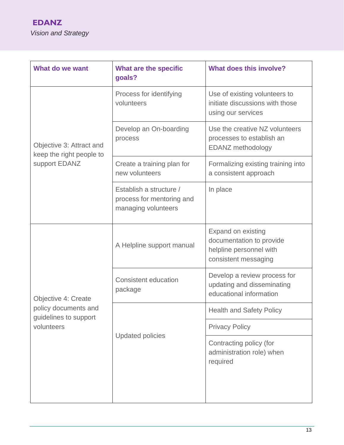| What do we want                                                                    | What are the specific<br>goals?                                             | <b>What does this involve?</b>                                                                           |
|------------------------------------------------------------------------------------|-----------------------------------------------------------------------------|----------------------------------------------------------------------------------------------------------|
| Objective 3: Attract and<br>keep the right people to<br>support EDANZ              | Process for identifying<br>volunteers                                       | Use of existing volunteers to<br>initiate discussions with those<br>using our services                   |
|                                                                                    | Develop an On-boarding<br>process                                           | Use the creative NZ volunteers<br>processes to establish an<br>EDANZ methodology                         |
|                                                                                    | Create a training plan for<br>new volunteers                                | Formalizing existing training into<br>a consistent approach                                              |
|                                                                                    | Establish a structure /<br>process for mentoring and<br>managing volunteers | In place                                                                                                 |
| Objective 4: Create<br>policy documents and<br>guidelines to support<br>volunteers | A Helpline support manual                                                   | <b>Expand on existing</b><br>documentation to provide<br>helpline personnel with<br>consistent messaging |
|                                                                                    | <b>Consistent education</b><br>package                                      | Develop a review process for<br>updating and disseminating<br>educational information                    |
|                                                                                    | <b>Updated policies</b>                                                     | <b>Health and Safety Policy</b>                                                                          |
|                                                                                    |                                                                             | <b>Privacy Policy</b>                                                                                    |
|                                                                                    |                                                                             | Contracting policy (for<br>administration role) when<br>required                                         |
|                                                                                    |                                                                             |                                                                                                          |